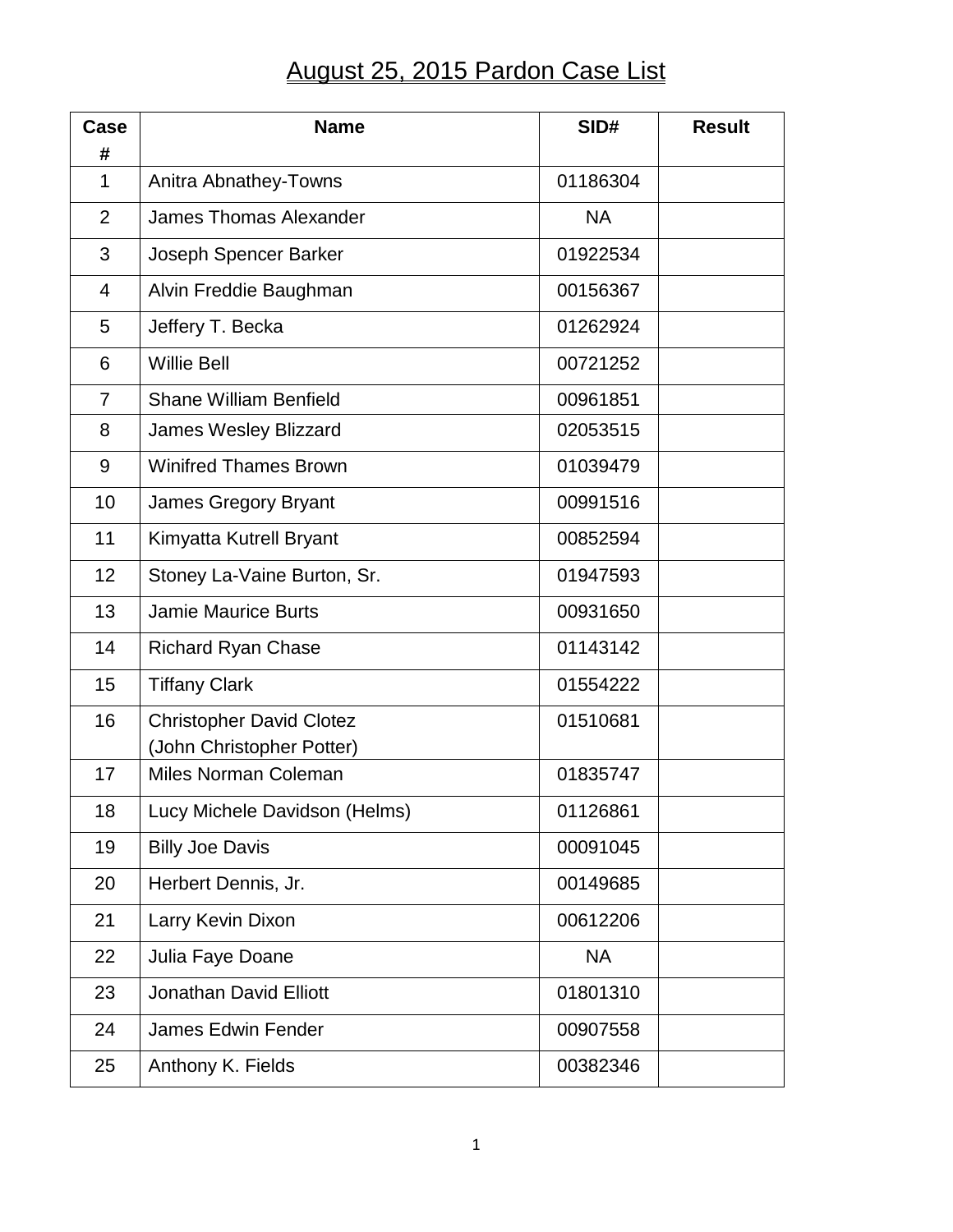## August 25, 2015 Pardon Case List

| Case<br>#      | <b>Name</b>                                                  | SID#      | <b>Result</b> |
|----------------|--------------------------------------------------------------|-----------|---------------|
| 1              | Anitra Abnathey-Towns                                        | 01186304  |               |
| $\overline{2}$ | <b>James Thomas Alexander</b>                                | <b>NA</b> |               |
| 3              | Joseph Spencer Barker                                        | 01922534  |               |
| $\overline{4}$ | Alvin Freddie Baughman                                       | 00156367  |               |
| 5              | Jeffery T. Becka                                             | 01262924  |               |
| 6              | <b>Willie Bell</b>                                           | 00721252  |               |
| $\overline{7}$ | <b>Shane William Benfield</b>                                | 00961851  |               |
| 8              | <b>James Wesley Blizzard</b>                                 | 02053515  |               |
| 9              | <b>Winifred Thames Brown</b>                                 | 01039479  |               |
| 10             | James Gregory Bryant                                         | 00991516  |               |
| 11             | Kimyatta Kutrell Bryant                                      | 00852594  |               |
| 12             | Stoney La-Vaine Burton, Sr.                                  | 01947593  |               |
| 13             | <b>Jamie Maurice Burts</b>                                   | 00931650  |               |
| 14             | <b>Richard Ryan Chase</b>                                    | 01143142  |               |
| 15             | <b>Tiffany Clark</b>                                         | 01554222  |               |
| 16             | <b>Christopher David Clotez</b><br>(John Christopher Potter) | 01510681  |               |
| 17             | Miles Norman Coleman                                         | 01835747  |               |
| 18             | Lucy Michele Davidson (Helms)                                | 01126861  |               |
| 19             | <b>Billy Joe Davis</b>                                       | 00091045  |               |
| 20             | Herbert Dennis, Jr.                                          | 00149685  |               |
| 21             | Larry Kevin Dixon                                            | 00612206  |               |
| 22             | Julia Faye Doane                                             | <b>NA</b> |               |
| 23             | <b>Jonathan David Elliott</b>                                | 01801310  |               |
| 24             | <b>James Edwin Fender</b>                                    | 00907558  |               |
| 25             | Anthony K. Fields                                            | 00382346  |               |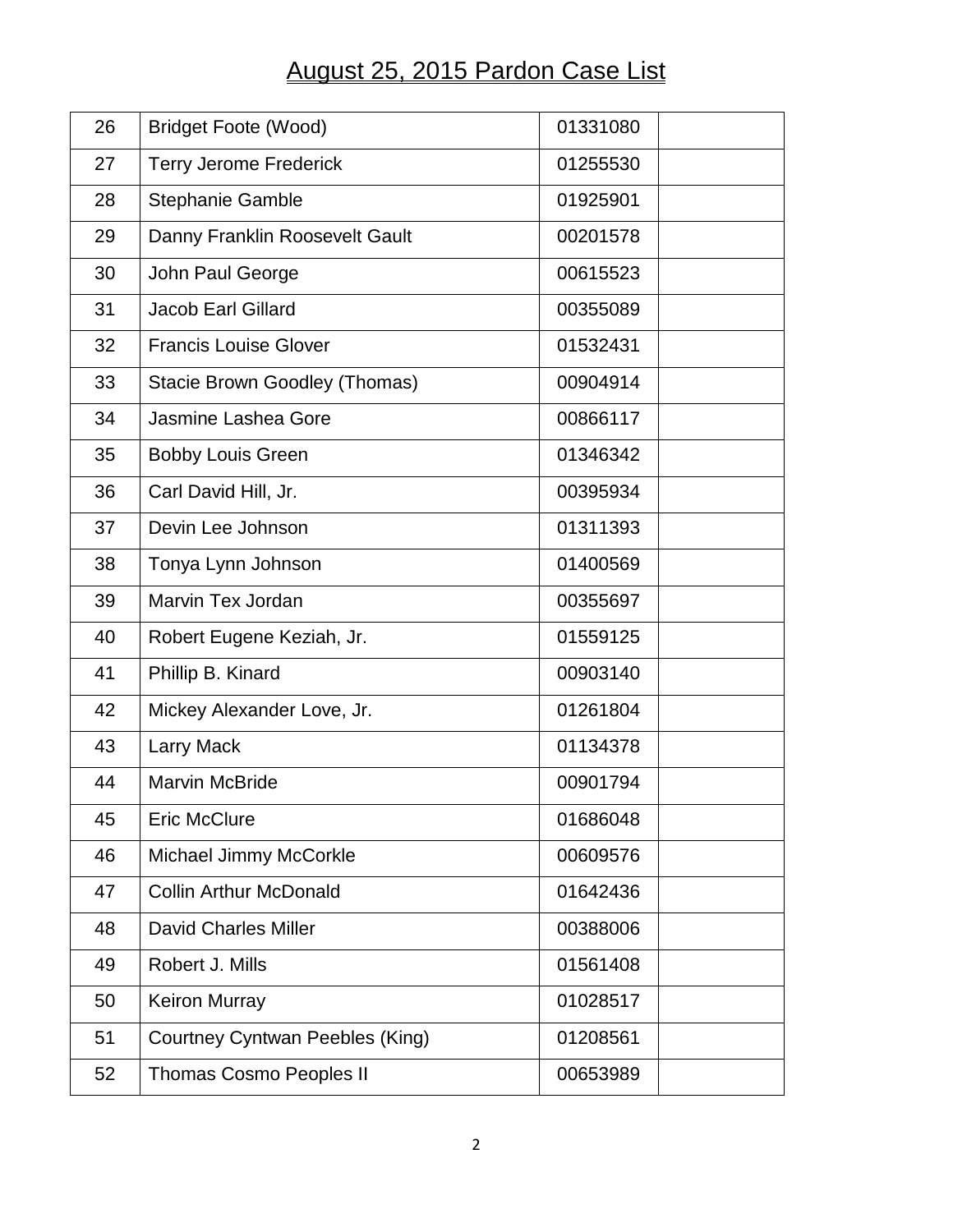## August 25, 2015 Pardon Case List

| 26 | <b>Bridget Foote (Wood)</b>     | 01331080 |
|----|---------------------------------|----------|
| 27 | <b>Terry Jerome Frederick</b>   | 01255530 |
| 28 | <b>Stephanie Gamble</b>         | 01925901 |
| 29 | Danny Franklin Roosevelt Gault  | 00201578 |
| 30 | John Paul George                | 00615523 |
| 31 | <b>Jacob Earl Gillard</b>       | 00355089 |
| 32 | <b>Francis Louise Glover</b>    | 01532431 |
| 33 | Stacie Brown Goodley (Thomas)   | 00904914 |
| 34 | Jasmine Lashea Gore             | 00866117 |
| 35 | <b>Bobby Louis Green</b>        | 01346342 |
| 36 | Carl David Hill, Jr.            | 00395934 |
| 37 | Devin Lee Johnson               | 01311393 |
| 38 | Tonya Lynn Johnson              | 01400569 |
| 39 | Marvin Tex Jordan               | 00355697 |
| 40 | Robert Eugene Keziah, Jr.       | 01559125 |
| 41 | Phillip B. Kinard               | 00903140 |
| 42 | Mickey Alexander Love, Jr.      | 01261804 |
| 43 | <b>Larry Mack</b>               | 01134378 |
| 44 | <b>Marvin McBride</b>           | 00901794 |
| 45 | <b>Eric McClure</b>             | 01686048 |
| 46 | Michael Jimmy McCorkle          | 00609576 |
| 47 | <b>Collin Arthur McDonald</b>   | 01642436 |
| 48 | <b>David Charles Miller</b>     | 00388006 |
| 49 | Robert J. Mills                 | 01561408 |
| 50 | <b>Keiron Murray</b>            | 01028517 |
| 51 | Courtney Cyntwan Peebles (King) | 01208561 |
| 52 | <b>Thomas Cosmo Peoples II</b>  | 00653989 |